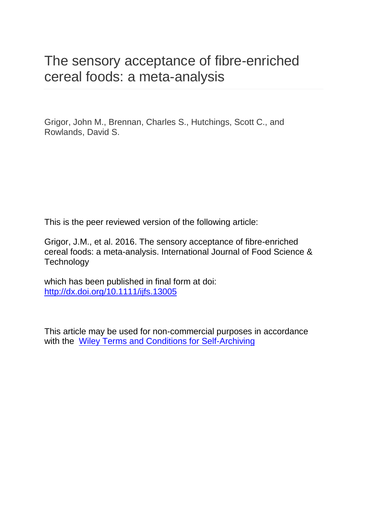# The sensory acceptance of fibre-enriched cereal foods: a meta-analysis

Grigor, John M., Brennan, Charles S., Hutchings, Scott C., and Rowlands, David S.

This is the peer reviewed version of the following article:

Grigor, J.M., et al. 2016. The sensory acceptance of fibre-enriched cereal foods: a meta-analysis. International Journal of Food Science & **Technology** 

which has been published in final form at doi: <http://dx.doi.org/10.1111/ijfs.13005>

This article may be used for non-commercial purposes in accordance with the [Wiley Terms and Conditions for Self-Archiving](http://olabout.wiley.com/WileyCDA/Section/id-820227.html)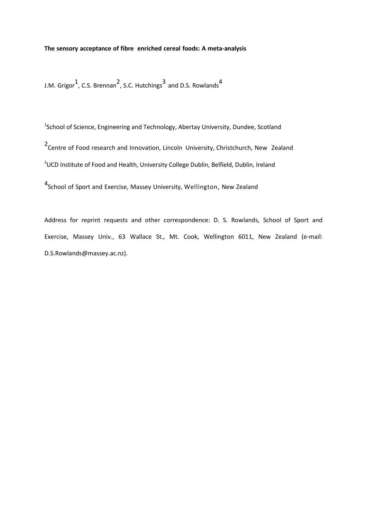# **The sensory acceptance of fibre enriched cereal foods: A meta-analysis**

J.M. Grigor $^1$ , C.S. Brennan<sup>2</sup>, S.C. Hutchings<sup>3</sup> and D.S. Rowlands<sup>4</sup>

<sup>1</sup>School of Science, Engineering and Technology, Abertay University, Dundee, Scotland

2<br>Centre of Food research and Innovation, Lincoln University, Christchurch, New Zealand

<sup>3</sup>UCD Institute of Food and Health, University College Dublin, Belfield, Dublin, Ireland

4<br>School of Sport and Exercise, Massey University, Wellington, New Zealand

Address for reprint requests and other correspondence: D. S. Rowlands, School of Sport and Exercise, Massey Univ., 63 Wallace St., Mt. Cook, Wellington 6011, New Zealand (e-mail: D.S.Rowlands@massey.ac.nz).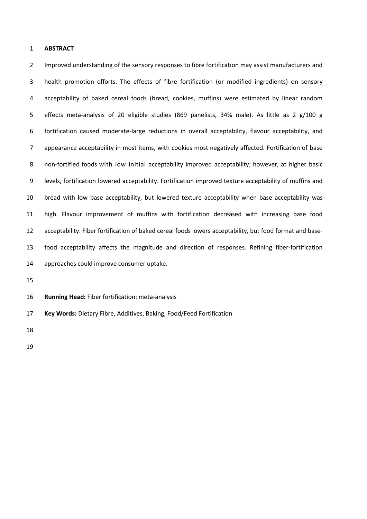## **ABSTRACT**

 Improved understanding of the sensory responses to fibre fortification may assist manufacturers and health promotion efforts. The effects of fibre fortification (or modified ingredients) on sensory acceptability of baked cereal foods (bread, cookies, muffins) were estimated by linear random effects meta-analysis of 20 eligible studies (869 panelists, 34% male). As little as 2 g/100 g fortification caused moderate-large reductions in overall acceptability, flavour acceptability, and appearance acceptability in most items, with cookies most negatively affected. Fortification of base non-fortified foods with low initial acceptability improved acceptability; however, at higher basic levels, fortification lowered acceptability. Fortification improved texture acceptability of muffins and bread with low base acceptability, but lowered texture acceptability when base acceptability was high. Flavour improvement of muffins with fortification decreased with increasing base food acceptability. Fiber fortification of baked cereal foods lowers acceptability, but food format and base- food acceptability affects the magnitude and direction of responses. Refining fiber-fortification approaches could improve consumer uptake.

**Running Head:** Fiber fortification: meta-analysis

**Key Words:** Dietary Fibre, Additives, Baking, Food/Feed Fortification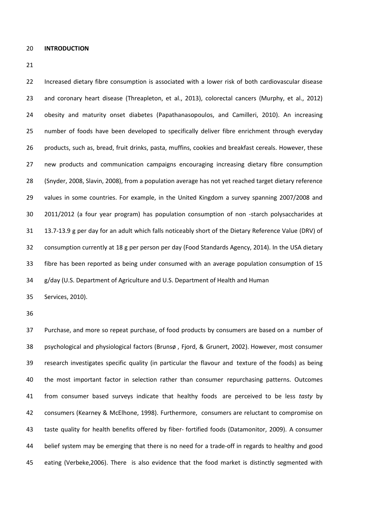**INTRODUCTION**

 Increased dietary fibre consumption is associated with a lower risk of both cardiovascular disease and coronary heart disease (Threapleton, et al., 2013), colorectal cancers (Murphy, et al., 2012) obesity and maturity onset diabetes (Papathanasopoulos, and Camilleri, 2010). An increasing number of foods have been developed to specifically deliver fibre enrichment through everyday products, such as, bread, fruit drinks, pasta, muffins, cookies and breakfast cereals. However, these new products and communication campaigns encouraging increasing dietary fibre consumption (Snyder, 2008, Slavin, 2008), from a population average has not yet reached target dietary reference values in some countries. For example, in the United Kingdom a survey spanning 2007/2008 and 2011/2012 (a four year program) has population consumption of non -starch polysaccharides at 13.7-13.9 g per day for an adult which falls noticeably short of the Dietary Reference Value (DRV) of consumption currently at 18 g per person per day (Food Standards Agency, 2014). In the USA dietary fibre has been reported as being under consumed with an average population consumption of 15 g/day (U.S. Department of Agriculture and U.S. Department of Health and Human

Services, 2010).

 Purchase, and more so repeat purchase, of food products by consumers are based on a number of psychological and physiological factors (Brunsø , Fjord, & Grunert, 2002). However, most consumer research investigates specific quality (in particular the flavour and texture of the foods) as being the most important factor in selection rather than consumer repurchasing patterns. Outcomes from consumer based surveys indicate that healthy foods are perceived to be less *tasty* by consumers (Kearney & McElhone, 1998). Furthermore, consumers are reluctant to compromise on taste quality for health benefits offered by fiber- fortified foods (Datamonitor, 2009). A consumer belief system may be emerging that there is no need for a trade-off in regards to healthy and good eating (Verbeke,2006). There is also evidence that the food market is distinctly segmented with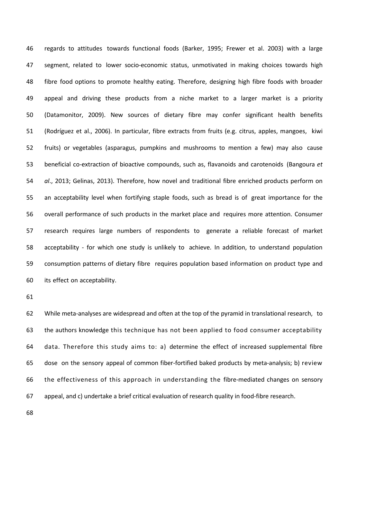regards to attitudes towards functional foods (Barker, 1995; Frewer et al. 2003) with a large segment, related to lower socio-economic status, unmotivated in making choices towards high fibre food options to promote healthy eating. Therefore, designing high fibre foods with broader appeal and driving these products from a niche market to a larger market is a priority (Datamonitor, 2009). New sources of dietary fibre may confer significant health benefits (Rodríguez et al., 2006). In particular, fibre extracts from fruits (e.g. citrus, apples, mangoes, kiwi fruits) or vegetables (asparagus, pumpkins and mushrooms to mention a few) may also cause beneficial co-extraction of bioactive compounds, such as, flavanoids and carotenoids (Bangoura *et al*., 2013; Gelinas, 2013). Therefore, how novel and traditional fibre enriched products perform on an acceptability level when fortifying staple foods, such as bread is of great importance for the overall performance of such products in the market place and requires more attention. Consumer research requires large numbers of respondents to generate a reliable forecast of market acceptability - for which one study is unlikely to achieve. In addition, to understand population consumption patterns of dietary fibre requires population based information on product type and its effect on acceptability.

 While meta-analyses are widespread and often at the top of the pyramid in translational research, to the authors knowledge this technique has not been applied to food consumer acceptability data. Therefore this study aims to: a) determine the effect of increased supplemental fibre dose on the sensory appeal of common fiber-fortified baked products by meta-analysis; b) review the effectiveness of this approach in understanding the fibre-mediated changes on sensory appeal, and c) undertake a brief critical evaluation of research quality in food-fibre research.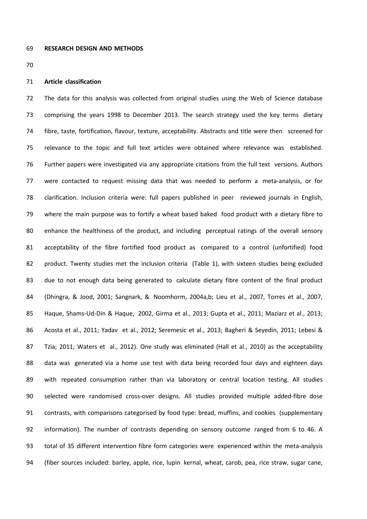### **Article classification**

 The data for this analysis was collected from original studies using the Web of Science database comprising the years 1998 to December 2013. The search strategy used the key terms dietary fibre, taste, fortification, flavour, texture, acceptability. Abstracts and title were then screened for relevance to the topic and full text articles were obtained where relevance was established. Further papers were investigated via any appropriate citations from the full text versions. Authors were contacted to request missing data that was needed to perform a meta-analysis, or for clarification. Inclusion criteria were: full papers published in peer reviewed journals in English, where the main purpose was to fortify a wheat based baked food product with a dietary fibre to enhance the healthiness of the product, and including perceptual ratings of the overall sensory acceptability of the fibre fortified food product as compared to a control (unfortified) food product. Twenty studies met the inclusion criteria (Table 1), with sixteen studies being excluded due to not enough data being generated to calculate dietary fibre content of the final product (Dhingra, & Jood, 2001; Sangnark, & Noomhorm, 2004a,b; Lieu et al., 2007, Torres et al., 2007, Haque, Shams-Ud-Din & Haque, 2002, Girma et al., 2013; Gupta et al., 2011; Maziarz et al., 2013; Acosta et al., 2011; Yadav et al., 2012; Seremesic et al., 2013; Bagheri & Seyedin, 2011; Lebesi & Tzia; 2011; Waters et al., 2012). One study was eliminated (Hall et al., 2010) as the acceptability data was generated via a home use test with data being recorded four days and eighteen days with repeated consumption rather than via laboratory or central location testing. All studies selected were randomised cross-over designs. All studies provided multiple added-fibre dose contrasts, with comparisons categorised by food type: bread, muffins, and cookies (supplementary information). The number of contrasts depending on sensory outcome ranged from 6 to 46. A total of 35 different intervention fibre form categories were experienced within the meta-analysis (fiber sources included: barley, apple, rice, lupin kernal, wheat, carob, pea, rice straw, sugar cane,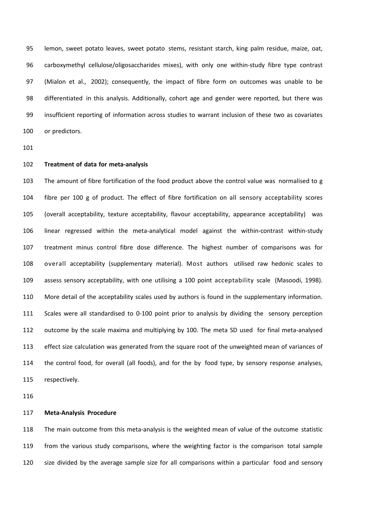lemon, sweet potato leaves, sweet potato stems, resistant starch, king palm residue, maize, oat, carboxymethyl cellulose/oligosaccharides mixes), with only one within-study fibre type contrast (Mialon et al., 2002); consequently, the impact of fibre form on outcomes was unable to be differentiated in this analysis. Additionally, cohort age and gender were reported, but there was insufficient reporting of information across studies to warrant inclusion of these two as covariates or predictors.

# **Treatment of data for meta-analysis**

 The amount of fibre fortification of the food product above the control value was normalised to g fibre per 100 g of product. The effect of fibre fortification on all sensory acceptability scores (overall acceptability, texture acceptability, flavour acceptability, appearance acceptability) was linear regressed within the meta-analytical model against the within-contrast within-study treatment minus control fibre dose difference. The highest number of comparisons was for overall acceptability (supplementary material). Most authors utilised raw hedonic scales to assess sensory acceptability, with one utilising a 100 point acceptability scale (Masoodi, 1998). More detail of the acceptability scales used by authors is found in the supplementary information. Scales were all standardised to 0-100 point prior to analysis by dividing the sensory perception outcome by the scale maxima and multiplying by 100. The meta SD used for final meta-analysed effect size calculation was generated from the square root of the unweighted mean of variances of the control food, for overall (all foods), and for the by food type, by sensory response analyses, respectively.

#### **Meta-Analysis Procedure**

 The main outcome from this meta-analysis is the weighted mean of value of the outcome statistic from the various study comparisons, where the weighting factor is the comparison total sample size divided by the average sample size for all comparisons within a particular food and sensory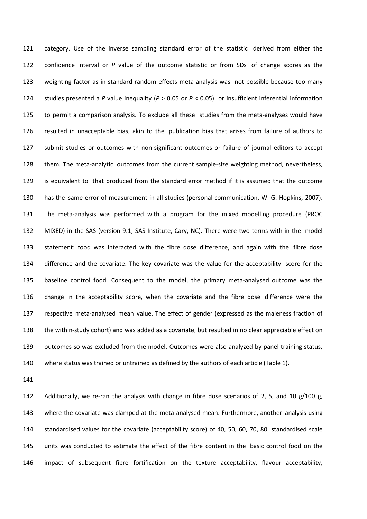category. Use of the inverse sampling standard error of the statistic derived from either the confidence interval or *P* value of the outcome statistic or from SDs of change scores as the weighting factor as in standard random effects meta-analysis was not possible because too many studies presented a *P* value inequality (*P* > 0.05 or *P* < 0.05) or insufficient inferential information to permit a comparison analysis. To exclude all these studies from the meta-analyses would have resulted in unacceptable bias, akin to the publication bias that arises from failure of authors to submit studies or outcomes with non-significant outcomes or failure of journal editors to accept them. The meta-analytic outcomes from the current sample-size weighting method, nevertheless, is equivalent to that produced from the standard error method if it is assumed that the outcome has the same error of measurement in all studies (personal communication, W. G. Hopkins, 2007). The meta-analysis was performed with a program for the mixed modelling procedure (PROC MIXED) in the SAS (version 9.1; SAS Institute, Cary, NC). There were two terms with in the model statement: food was interacted with the fibre dose difference, and again with the fibre dose difference and the covariate. The key covariate was the value for the acceptability score for the baseline control food. Consequent to the model, the primary meta-analysed outcome was the change in the acceptability score, when the covariate and the fibre dose difference were the respective meta-analysed mean value. The effect of gender (expressed as the maleness fraction of the within-study cohort) and was added as a covariate, but resulted in no clear appreciable effect on outcomes so was excluded from the model. Outcomes were also analyzed by panel training status, where status was trained or untrained as defined by the authors of each article (Table 1).

 Additionally, we re-ran the analysis with change in fibre dose scenarios of 2, 5, and 10 g/100 g, where the covariate was clamped at the meta-analysed mean. Furthermore, another analysis using standardised values for the covariate (acceptability score) of 40, 50, 60, 70, 80 standardised scale units was conducted to estimate the effect of the fibre content in the basic control food on the impact of subsequent fibre fortification on the texture acceptability, flavour acceptability,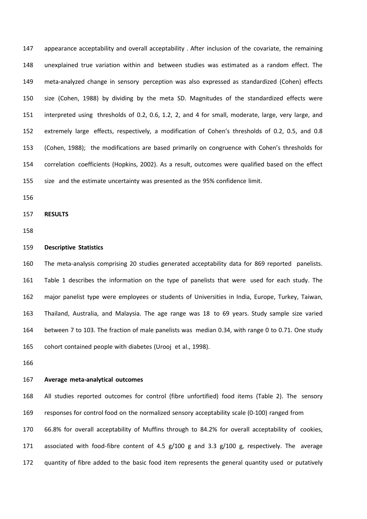appearance acceptability and overall acceptability . After inclusion of the covariate, the remaining unexplained true variation within and between studies was estimated as a random effect. The meta-analyzed change in sensory perception was also expressed as standardized (Cohen) effects size (Cohen, 1988) by dividing by the meta SD. Magnitudes of the standardized effects were interpreted using thresholds of 0.2, 0.6, 1.2, 2, and 4 for small, moderate, large, very large, and extremely large effects, respectively, a modification of Cohen's thresholds of 0.2, 0.5, and 0.8 (Cohen, 1988); the modifications are based primarily on congruence with Cohen's thresholds for correlation coefficients (Hopkins, 2002). As a result, outcomes were qualified based on the effect size and the estimate uncertainty was presented as the 95% confidence limit.

**RESULTS**

# **Descriptive Statistics**

 The meta-analysis comprising 20 studies generated acceptability data for 869 reported panelists. Table 1 describes the information on the type of panelists that were used for each study. The major panelist type were employees or students of Universities in India, Europe, Turkey, Taiwan, Thailand, Australia, and Malaysia. The age range was 18 to 69 years. Study sample size varied between 7 to 103. The fraction of male panelists was median 0.34, with range 0 to 0.71. One study cohort contained people with diabetes (Urooj et al., 1998).

## **Average meta-analytical outcomes**

 All studies reported outcomes for control (fibre unfortified) food items (Table 2). The sensory responses for control food on the normalized sensory acceptability scale (0-100) ranged from 66.8% for overall acceptability of Muffins through to 84.2% for overall acceptability of cookies, associated with food-fibre content of 4.5 g/100 g and 3.3 g/100 g, respectively. The average quantity of fibre added to the basic food item represents the general quantity used or putatively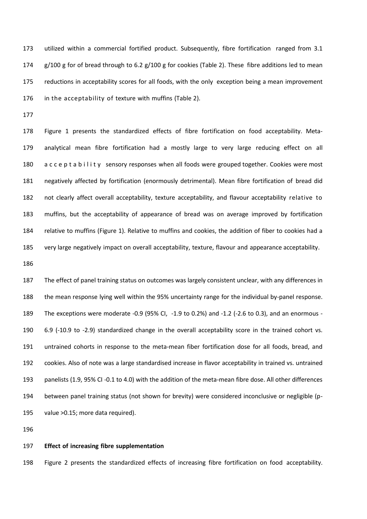utilized within a commercial fortified product. Subsequently, fibre fortification ranged from 3.1 174 g/100 g for of bread through to 6.2 g/100 g for cookies (Table 2). These fibre additions led to mean reductions in acceptability scores for all foods, with the only exception being a mean improvement in the acceptability of texture with muffins (Table 2).

 Figure 1 presents the standardized effects of fibre fortification on food acceptability. Meta- analytical mean fibre fortification had a mostly large to very large reducing effect on all 180 a c c e p t a b i l i t y sensory responses when all foods were grouped together. Cookies were most negatively affected by fortification (enormously detrimental). Mean fibre fortification of bread did not clearly affect overall acceptability, texture acceptability, and flavour acceptability relative to muffins, but the acceptability of appearance of bread was on average improved by fortification relative to muffins (Figure 1). Relative to muffins and cookies, the addition of fiber to cookies had a very large negatively impact on overall acceptability, texture, flavour and appearance acceptability.

 The effect of panel training status on outcomes was largely consistent unclear, with any differences in the mean response lying well within the 95% uncertainty range for the individual by-panel response. The exceptions were moderate -0.9 (95% CI, -1.9 to 0.2%) and -1.2 (-2.6 to 0.3), and an enormous - 6.9 (-10.9 to -2.9) standardized change in the overall acceptability score in the trained cohort vs. untrained cohorts in response to the meta-mean fiber fortification dose for all foods, bread, and cookies. Also of note was a large standardised increase in flavor acceptability in trained vs. untrained panelists (1.9, 95% CI -0.1 to 4.0) with the addition of the meta-mean fibre dose. All other differences between panel training status (not shown for brevity) were considered inconclusive or negligible (p-value >0.15; more data required).

#### **Effect of increasing fibre supplementation**

Figure 2 presents the standardized effects of increasing fibre fortification on food acceptability.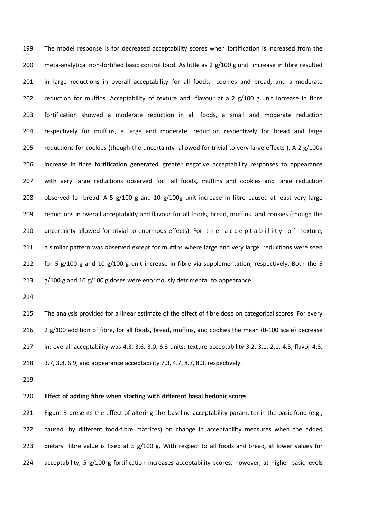The model response is for decreased acceptability scores when fortification is increased from the meta-analytical non-fortified basic control food. As little as 2 g/100 g unit increase in fibre resulted in large reductions in overall acceptability for all foods, cookies and bread, and a moderate 202 reduction for muffins. Acceptability of texture and flavour at a 2 g/100 g unit increase in fibre fortification showed a moderate reduction in all foods, a small and moderate reduction respectively for muffins, a large and moderate reduction respectively for bread and large 205 reductions for cookies (though the uncertainty allowed for trivial to very large effects ). A 2  $g/100g$  increase in fibre fortification generated greater negative acceptability responses to appearance with very large reductions observed for all foods, muffins and cookies and large reduction 208 observed for bread. A 5  $g/100 g$  and 10  $g/100g$  unit increase in fibre caused at least very large reductions in overall acceptability and flavour for all foods, bread, muffins and cookies (though the 210 uncertainty allowed for trivial to enormous effects). For the acceptability of texture, a similar pattern was observed except for muffins where large and very large reductions were seen 212 for 5 g/100 g and 10 g/100 g unit increase in fibre via supplementation, respectively. Both the 5  $g/100 g$  and 10  $g/100 g$  doses were enormously detrimental to appearance.

 The analysis provided for a linear estimate of the effect of fibre dose on categorical scores. For every 216 2 g/100 addition of fibre, for all foods, bread, muffins, and cookies the mean (0-100 scale) decrease in: overall acceptability was 4.3, 3.6, 3.0, 6.3 units; texture acceptability 3.2, 3.1, 2.1, 4.5; flavor 4.8, 3.7, 3.8, 6.9; and appearance acceptability 7.3, 4.7, 8.7, 8.3, respectively.

## **Effect of adding fibre when starting with different basal hedonic scores**

221 Figure 3 presents the effect of altering the baseline acceptability parameter in the basic food (e.g., caused by different food-fibre matrices) on change in acceptability measures when the added dietary fibre value is fixed at 5 g/100 g. With respect to all foods and bread*,* at lower values for 224 acceptability, 5 g/100 g fortification increases acceptability scores, however, at higher basic levels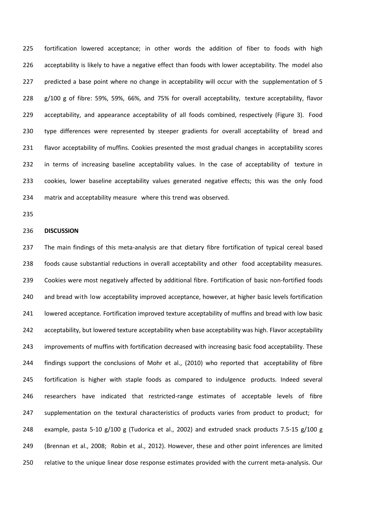fortification lowered acceptance; in other words the addition of fiber to foods with high acceptability is likely to have a negative effect than foods with lower acceptability. The model also 227 predicted a base point where no change in acceptability will occur with the supplementation of 5 g/100 g of fibre: 59%, 59%, 66%, and 75% for overall acceptability, texture acceptability, flavor acceptability, and appearance acceptability of all foods combined, respectively (Figure 3). Food type differences were represented by steeper gradients for overall acceptability of bread and flavor acceptability of muffins. Cookies presented the most gradual changes in acceptability scores in terms of increasing baseline acceptability values. In the case of acceptability of texture in cookies, lower baseline acceptability values generated negative effects; this was the only food matrix and acceptability measure where this trend was observed.

## **DISCUSSION**

 The main findings of this meta-analysis are that dietary fibre fortification of typical cereal based foods cause substantial reductions in overall acceptability and other food acceptability measures. Cookies were most negatively affected by additional fibre. Fortification of basic non-fortified foods 240 and bread with low acceptability improved acceptance, however, at higher basic levels fortification lowered acceptance. Fortification improved texture acceptability of muffins and bread with low basic acceptability, but lowered texture acceptability when base acceptability was high. Flavor acceptability improvements of muffins with fortification decreased with increasing basic food acceptability. These findings support the conclusions of Mohr et al., (2010) who reported that acceptability of fibre fortification is higher with staple foods as compared to indulgence products. Indeed several researchers have indicated that restricted-range estimates of acceptable levels of fibre 247 supplementation on the textural characteristics of products varies from product to product; for 248 example, pasta 5-10  $g/100 g$  (Tudorica et al., 2002) and extruded snack products 7.5-15  $g/100 g$  (Brennan et al., 2008; Robin et al., 2012). However, these and other point inferences are limited relative to the unique linear dose response estimates provided with the current meta-analysis. Our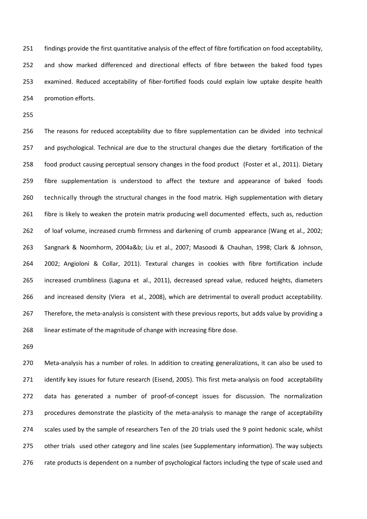findings provide the first quantitative analysis of the effect of fibre fortification on food acceptability, and show marked differenced and directional effects of fibre between the baked food types examined. Reduced acceptability of fiber-fortified foods could explain low uptake despite health promotion efforts.

 The reasons for reduced acceptability due to fibre supplementation can be divided into technical and psychological. Technical are due to the structural changes due the dietary fortification of the food product causing perceptual sensory changes in the food product (Foster et al., 2011). Dietary fibre supplementation is understood to affect the texture and appearance of baked foods technically through the structural changes in the food matrix. High supplementation with dietary fibre is likely to weaken the protein matrix producing well documented effects, such as, reduction of loaf volume, increased crumb firmness and darkening of crumb appearance (Wang et al., 2002; Sangnark & Noomhorm, 2004a&b; Liu et al., 2007; Masoodi & Chauhan, 1998; Clark & Johnson, 2002; Angioloni & Collar, 2011). Textural changes in cookies with fibre fortification include increased crumbliness (Laguna et al., 2011), decreased spread value, reduced heights, diameters and increased density (Viera et al., 2008), which are detrimental to overall product acceptability. 267 Therefore, the meta-analysis is consistent with these previous reports, but adds value by providing a linear estimate of the magnitude of change with increasing fibre dose.

 Meta-analysis has a number of roles. In addition to creating generalizations, it can also be used to 271 identify key issues for future research (Eisend, 2005). This first meta-analysis on food acceptability data has generated a number of proof-of-concept issues for discussion. The normalization procedures demonstrate the plasticity of the meta-analysis to manage the range of acceptability scales used by the sample of researchers Ten of the 20 trials used the 9 point hedonic scale, whilst other trials used other category and line scales (see Supplementary information). The way subjects 276 rate products is dependent on a number of psychological factors including the type of scale used and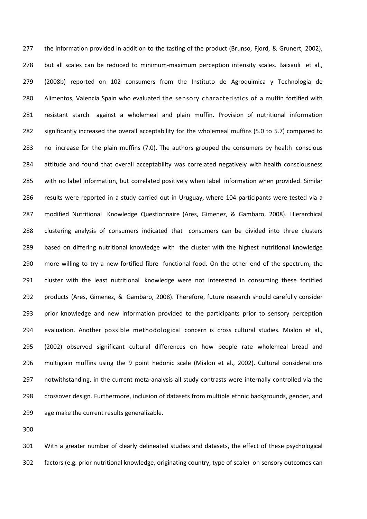the information provided in addition to the tasting of the product (Brunso, Fjord, & Grunert, 2002), but all scales can be reduced to minimum-maximum perception intensity scales. Baixauli et al., (2008b) reported on 102 consumers from the Instituto de Agroquimica y Technologia de Alimentos, Valencia Spain who evaluated the sensory characteristics of a muffin fortified with resistant starch against a wholemeal and plain muffin. Provision of nutritional information significantly increased the overall acceptability for the wholemeal muffins (5.0 to 5.7) compared to no increase for the plain muffins (7.0). The authors grouped the consumers by health conscious attitude and found that overall acceptability was correlated negatively with health consciousness with no label information, but correlated positively when label information when provided. Similar results were reported in a study carried out in Uruguay, where 104 participants were tested via a modified Nutritional Knowledge Questionnaire (Ares, Gimenez, & Gambaro, 2008). Hierarchical clustering analysis of consumers indicated that consumers can be divided into three clusters based on differing nutritional knowledge with the cluster with the highest nutritional knowledge more willing to try a new fortified fibre functional food. On the other end of the spectrum, the cluster with the least nutritional knowledge were not interested in consuming these fortified products (Ares, Gimenez, & Gambaro, 2008). Therefore, future research should carefully consider prior knowledge and new information provided to the participants prior to sensory perception evaluation. Another possible methodological concern is cross cultural studies. Mialon et al., (2002) observed significant cultural differences on how people rate wholemeal bread and multigrain muffins using the 9 point hedonic scale (Mialon et al., 2002). Cultural considerations notwithstanding, in the current meta-analysis all study contrasts were internally controlled via the crossover design. Furthermore, inclusion of datasets from multiple ethnic backgrounds, gender, and age make the current results generalizable.

 With a greater number of clearly delineated studies and datasets, the effect of these psychological factors (e.g. prior nutritional knowledge, originating country, type of scale) on sensory outcomes can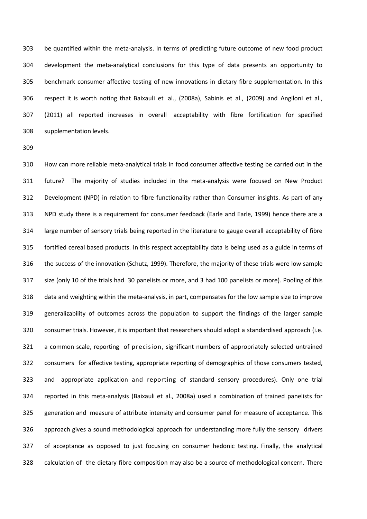be quantified within the meta-analysis. In terms of predicting future outcome of new food product development the meta-analytical conclusions for this type of data presents an opportunity to benchmark consumer affective testing of new innovations in dietary fibre supplementation. In this respect it is worth noting that Baixauli et al., (2008a), Sabinis et al., (2009) and Angiloni et al., (2011) all reported increases in overall acceptability with fibre fortification for specified supplementation levels.

 How can more reliable meta-analytical trials in food consumer affective testing be carried out in the future? The majority of studies included in the meta-analysis were focused on New Product Development (NPD) in relation to fibre functionality rather than Consumer insights. As part of any NPD study there is a requirement for consumer feedback (Earle and Earle, 1999) hence there are a large number of sensory trials being reported in the literature to gauge overall acceptability of fibre fortified cereal based products. In this respect acceptability data is being used as a guide in terms of the success of the innovation (Schutz, 1999). Therefore, the majority of these trials were low sample size (only 10 of the trials had 30 panelists or more, and 3 had 100 panelists or more). Pooling of this data and weighting within the meta-analysis, in part, compensates for the low sample size to improve generalizability of outcomes across the population to support the findings of the larger sample consumer trials. However, it is important that researchers should adopt a standardised approach (i.e. a common scale, reporting of precision, significant numbers of appropriately selected untrained consumers for affective testing, appropriate reporting of demographics of those consumers tested, and appropriate application and reporting of standard sensory procedures). Only one trial reported in this meta-analysis (Baixauli et al., 2008a) used a combination of trained panelists for generation and measure of attribute intensity and consumer panel for measure of acceptance. This approach gives a sound methodological approach for understanding more fully the sensory drivers of acceptance as opposed to just focusing on consumer hedonic testing. Finally, the analytical calculation of the dietary fibre composition may also be a source of methodological concern. There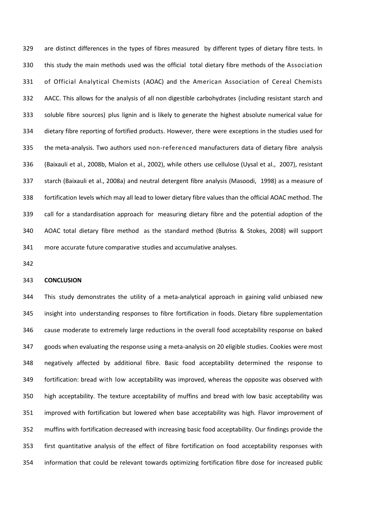are distinct differences in the types of fibres measured by different types of dietary fibre tests. In this study the main methods used was the official total dietary fibre methods of the Association of Official Analytical Chemists (AOAC) and the American Association of Cereal Chemists AACC. This allows for the analysis of all non digestible carbohydrates (including resistant starch and soluble fibre sources) plus lignin and is likely to generate the highest absolute numerical value for dietary fibre reporting of fortified products. However, there were exceptions in the studies used for the meta-analysis. Two authors used non-referenced manufacturers data of dietary fibre analysis (Baixauli et al., 2008b, Mialon et al., 2002), while others use cellulose (Uysal et al., 2007), resistant starch (Baixauli et al., 2008a) and neutral detergent fibre analysis (Masoodi, 1998) as a measure of fortification levels which may all lead to lower dietary fibre values than the official AOAC method. The call for a standardisation approach for measuring dietary fibre and the potential adoption of the AOAC total dietary fibre method as the standard method (Butriss & Stokes, 2008) will support more accurate future comparative studies and accumulative analyses.

## **CONCLUSION**

 This study demonstrates the utility of a meta-analytical approach in gaining valid unbiased new insight into understanding responses to fibre fortification in foods. Dietary fibre supplementation cause moderate to extremely large reductions in the overall food acceptability response on baked goods when evaluating the response using a meta-analysis on 20 eligible studies. Cookies were most negatively affected by additional fibre. Basic food acceptability determined the response to fortification: bread with low acceptability was improved, whereas the opposite was observed with high acceptability. The texture acceptability of muffins and bread with low basic acceptability was improved with fortification but lowered when base acceptability was high. Flavor improvement of muffins with fortification decreased with increasing basic food acceptability. Our findings provide the first quantitative analysis of the effect of fibre fortification on food acceptability responses with information that could be relevant towards optimizing fortification fibre dose for increased public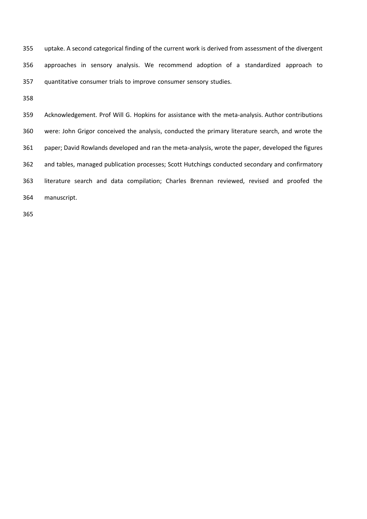uptake. A second categorical finding of the current work is derived from assessment of the divergent approaches in sensory analysis. We recommend adoption of a standardized approach to quantitative consumer trials to improve consumer sensory studies.

 Acknowledgement. Prof Will G. Hopkins for assistance with the meta-analysis. Author contributions were: John Grigor conceived the analysis, conducted the primary literature search, and wrote the paper; David Rowlands developed and ran the meta-analysis, wrote the paper, developed the figures and tables, managed publication processes; Scott Hutchings conducted secondary and confirmatory literature search and data compilation; Charles Brennan reviewed, revised and proofed the manuscript.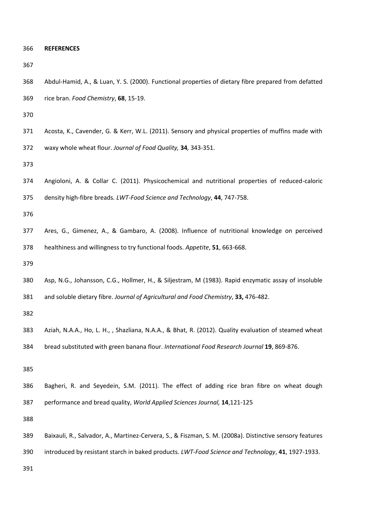| 366 |  | <b>REFERENCES</b> |  |
|-----|--|-------------------|--|
|-----|--|-------------------|--|

- Abdul-Hamid, A., & Luan, Y. S. (2000). Functional properties of dietary fibre prepared from defatted rice bran. *Food Chemistry*, **68**, 15-19. Acosta, K., Cavender, G. & Kerr, W.L. (2011). Sensory and physical properties of muffins made with
- waxy whole wheat flour. *Journal of Food Quality,* **34***,* 343-351.

 Angioloni, A. & Collar C. (2011). Physicochemical and nutritional properties of reduced-caloric density high-fibre breads*. LWT-Food Science and Technology*, **44**, 747-758.

- Ares, G., Gimenez, A., & Gambaro, A. (2008). Influence of nutritional knowledge on perceived healthiness and willingness to try functional foods. *Appetite*, **51**, 663-668.
- 
- Asp, N.G., Johansson, C.G., Hollmer, H., & Siljestram, M (1983). Rapid enzymatic assay of insoluble and soluble dietary fibre. *Journal of Agricultural and Food Chemistry*, **33,** 476-482.

- Aziah, N.A.A., Ho, L. H., , Shazliana, N.A.A., & Bhat, R. (2012). Quality evaluation of steamed wheat
- bread substituted with green banana flour. *International Food Research Journal* **19**, 869-876.

 Bagheri, R. and Seyedein, S.M. (2011). The effect of adding rice bran fibre on wheat dough performance and bread quality, *World Applied Sciences Journal,* **14**,121-125

- Baixauli, R., Salvador, A., Martinez-Cervera, S., & Fiszman, S. M. (2008a). Distinctive sensory features
- introduced by resistant starch in baked products. *LWT-Food Science and Technology*, **41**, 1927-1933.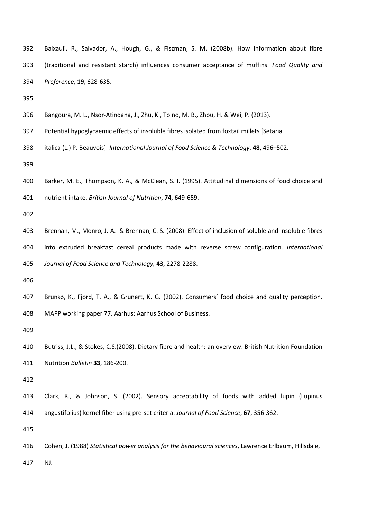- Baixauli, R., Salvador, A., Hough, G., & Fiszman, S. M. (2008b). How information about fibre (traditional and resistant starch) influences consumer acceptance of muffins. *Food Quality and Preference*, **19**, 628-635.
- 
- Bangoura, M. L., Nsor-Atindana, J., Zhu, K., Tolno, M. B., Zhou, H. & Wei, P. (2013).
- Potential hypoglycaemic effects of insoluble fibres isolated from foxtail millets [Setaria
- italica (L.) P. Beauvois]. *International Journal of Food Science & Technology*, **48**, 496–502.
- 
- Barker, M. E., Thompson, K. A., & McClean, S. I. (1995). Attitudinal dimensions of food choice and
- 

nutrient intake. *British Journal of Nutrition*, **74**, 649-659.

- Brennan, M., Monro, J. A. & Brennan, C. S. (2008). Effect of inclusion of soluble and insoluble fibres into extruded breakfast cereal products made with reverse screw configuration. *International Journal of Food Science and Technology,* **43**, 2278-2288.
- 
- Brunsø, K., Fjord, T. A., & Grunert, K. G. (2002). Consumers' food choice and quality perception. MAPP working paper 77. Aarhus: Aarhus School of Business.
- 
- Butriss, J.L., & Stokes, C.S.(2008). Dietary fibre and health: an overview. British Nutrition Foundation Nutrition *Bulletin* **33**, 186-200.
- 
- Clark, R., & Johnson, S. (2002). Sensory acceptability of foods with added lupin (Lupinus angustifolius) kernel fiber using pre-set criteria. *Journal of Food Science*, **67**, 356-362.
- 
- Cohen, J. (1988) *Statistical power analysis for the behavioural sciences*, Lawrence Erlbaum, Hillsdale,
- NJ.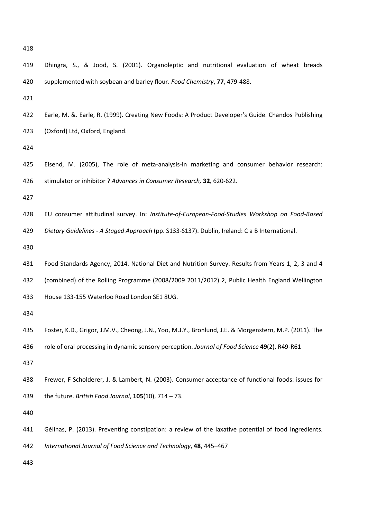| ×<br>v |
|--------|
|--------|

| 419 | Dhingra, S., & Jood, S. (2001). Organoleptic and nutritional evaluation of wheat breads                 |
|-----|---------------------------------------------------------------------------------------------------------|
| 420 | supplemented with soybean and barley flour. Food Chemistry, 77, 479-488.                                |
| 421 |                                                                                                         |
| 422 | Earle, M. &. Earle, R. (1999). Creating New Foods: A Product Developer's Guide. Chandos Publishing      |
| 423 | (Oxford) Ltd, Oxford, England.                                                                          |
| 424 |                                                                                                         |
| 425 | Eisend, M. (2005), The role of meta-analysis-in marketing and consumer behavior research:               |
| 426 | stimulator or inhibitor ? Advances in Consumer Research, 32, 620-622.                                   |
| 427 |                                                                                                         |
| 428 | EU consumer attitudinal survey. In: Institute-of-European-Food-Studies Workshop on Food-Based           |
| 429 | Dietary Guidelines - A Staged Approach (pp. S133-S137). Dublin, Ireland: C a B International.           |
| 430 |                                                                                                         |
| 431 | Food Standards Agency, 2014. National Diet and Nutrition Survey. Results from Years 1, 2, 3 and 4       |
| 432 | (combined) of the Rolling Programme (2008/2009 2011/2012) 2, Public Health England Wellington           |
| 433 | House 133-155 Waterloo Road London SE1 8UG.                                                             |
| 434 |                                                                                                         |
| 435 | Foster, K.D., Grigor, J.M.V., Cheong, J.N., Yoo, M.J.Y., Bronlund, J.E. & Morgenstern, M.P. (2011). The |
| 436 | role of oral processing in dynamic sensory perception. Journal of Food Science 49(2), R49-R61           |
| 437 |                                                                                                         |
| 438 | Frewer, F Scholderer, J. & Lambert, N. (2003). Consumer acceptance of functional foods: issues for      |
| 439 | the future. British Food Journal, $105(10)$ , 714 - 73.                                                 |
| 440 |                                                                                                         |
| 441 | Gélinas, P. (2013). Preventing constipation: a review of the laxative potential of food ingredients.    |
| 442 | International Journal of Food Science and Technology, 48, 445-467                                       |
| 443 |                                                                                                         |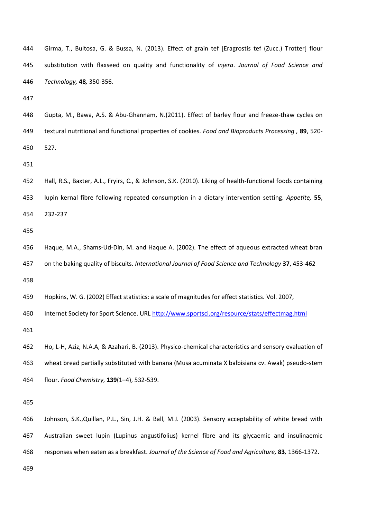| 444 | Girma, T., Bultosa, G. & Bussa, N. (2013). Effect of grain tef [Eragrostis tef (Zucc.) Trotter] flour      |
|-----|------------------------------------------------------------------------------------------------------------|
| 445 | substitution with flaxseed on quality and functionality of <i>injera. Journal of Food Science and</i>      |
| 446 | Technology, 48, 350-356.                                                                                   |
| 447 |                                                                                                            |
| 448 | Gupta, M., Bawa, A.S. & Abu-Ghannam, N.(2011). Effect of barley flour and freeze-thaw cycles on            |
| 449 | textural nutritional and functional properties of cookies. Food and Bioproducts Processing, 89, 520-       |
| 450 | 527.                                                                                                       |
| 451 |                                                                                                            |
| 452 | Hall, R.S., Baxter, A.L., Fryirs, C., & Johnson, S.K. (2010). Liking of health-functional foods containing |
| 453 | lupin kernal fibre following repeated consumption in a dietary intervention setting. Appetite, 55,         |
| 454 | 232-237                                                                                                    |
| 455 |                                                                                                            |
| 456 | Haque, M.A., Shams-Ud-Din, M. and Haque A. (2002). The effect of aqueous extracted wheat bran              |
| 457 | on the baking quality of biscuits. International Journal of Food Science and Technology 37, 453-462        |
| 458 |                                                                                                            |
| 459 | Hopkins, W. G. (2002) Effect statistics: a scale of magnitudes for effect statistics. Vol. 2007,           |
| 460 | Internet Society for Sport Science. URL http://www.sportsci.org/resource/stats/effectmag.html              |
| 461 |                                                                                                            |
| 462 | Ho, L-H, Aziz, N.A.A, & Azahari, B. (2013). Physico-chemical characteristics and sensory evaluation of     |
| 463 | wheat bread partially substituted with banana (Musa acuminata X balbisiana cv. Awak) pseudo-stem           |
| 464 | flour. Food Chemistry, 139(1-4), 532-539.                                                                  |
| 465 |                                                                                                            |
| 466 | Johnson, S.K., Quillan, P.L., Sin, J.H. & Ball, M.J. (2003). Sensory acceptability of white bread with     |
| 467 | Australian sweet lupin (Lupinus angustifolius) kernel fibre and its glycaemic and insulinaemic             |
| 468 | responses when eaten as a breakfast. Journal of the Science of Food and Agriculture, 83, 1366-1372.        |
| 469 |                                                                                                            |
|     |                                                                                                            |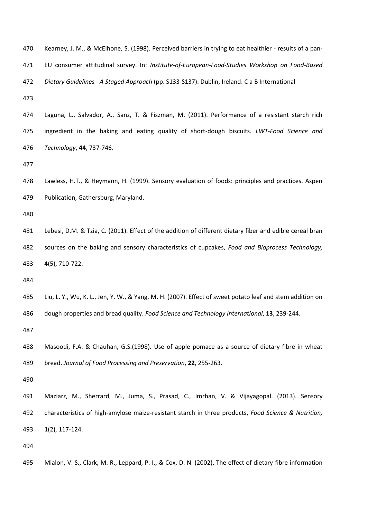| 470                      | Kearney, J. M., & McElhone, S. (1998). Perceived barriers in trying to eat healthier - results of a pan-  |
|--------------------------|-----------------------------------------------------------------------------------------------------------|
| 471                      | EU consumer attitudinal survey. In: Institute-of-European-Food-Studies Workshop on Food-Based             |
| 472                      | Dietary Guidelines - A Staged Approach (pp. S133-S137). Dublin, Ireland: C a B International              |
| 473                      |                                                                                                           |
| 474                      | Laguna, L., Salvador, A., Sanz, T. & Fiszman, M. (2011). Performance of a resistant starch rich           |
| 475                      | ingredient in the baking and eating quality of short-dough biscuits. LWT-Food Science and                 |
| 476                      | Technology, 44, 737-746.                                                                                  |
| 477                      |                                                                                                           |
| 478                      | Lawless, H.T., & Heymann, H. (1999). Sensory evaluation of foods: principles and practices. Aspen         |
| 479                      | Publication, Gathersburg, Maryland.                                                                       |
| 480                      |                                                                                                           |
| 481                      | Lebesi, D.M. & Tzia, C. (2011). Effect of the addition of different dietary fiber and edible cereal bran  |
| 482                      | sources on the baking and sensory characteristics of cupcakes, Food and Bioprocess Technology,            |
| 483                      | 4(5), 710-722.                                                                                            |
| 484                      |                                                                                                           |
| 485                      |                                                                                                           |
|                          | Liu, L. Y., Wu, K. L., Jen, Y. W., & Yang, M. H. (2007). Effect of sweet potato leaf and stem addition on |
|                          | dough properties and bread quality. Food Science and Technology International, 13, 239-244.               |
|                          |                                                                                                           |
| 486<br>487<br>488        | Masoodi, F.A. & Chauhan, G.S.(1998). Use of apple pomace as a source of dietary fibre in wheat            |
|                          | bread. Journal of Food Processing and Preservation, 22, 255-263.                                          |
|                          |                                                                                                           |
|                          | Maziarz, M., Sherrard, M., Juma, S., Prasad, C., Imrhan, V. & Vijayagopal. (2013). Sensory                |
| 489<br>490<br>491<br>492 | characteristics of high-amylose maize-resistant starch in three products, Food Science & Nutrition,       |
|                          | $1(2)$ , 117-124.                                                                                         |
| 493<br>494               |                                                                                                           |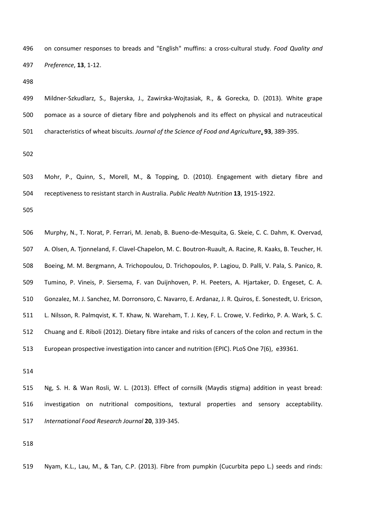on consumer responses to breads and "English" muffins: a cross-cultural study. *Food Quality and Preference*, **13**, 1-12.

 Mildner-Szkudlarz, S., Bajerska, J., Zawirska-Wojtasiak, R., & Gorecka, D. (2013). White grape pomace as a source of dietary fibre and polyphenols and its effect on physical and nutraceutical characteristics of wheat biscuits. *Journal of the Science of Food and Agriculture*, **93**, 389-395.

 Mohr, P., Quinn, S., Morell, M., & Topping, D. (2010). Engagement with dietary fibre and receptiveness to resistant starch in Australia. *Public Health Nutrition* **13**, 1915-1922.

 Murphy, N., T. Norat, P. Ferrari, M. Jenab, B. Bueno-de-Mesquita, G. Skeie, C. C. Dahm, K. Overvad, A. Olsen, A. Tjonneland, F. Clavel-Chapelon, M. C. Boutron-Ruault, A. Racine, R. Kaaks, B. Teucher, H. Boeing, M. M. Bergmann, A. Trichopoulou, D. Trichopoulos, P. Lagiou, D. Palli, V. Pala, S. Panico, R. Tumino, P. Vineis, P. Siersema, F. van Duijnhoven, P. H. Peeters, A. Hjartaker, D. Engeset, C. A. Gonzalez, M. J. Sanchez, M. Dorronsoro, C. Navarro, E. Ardanaz, J. R. Quiros, E. Sonestedt, U. Ericson, L. Nilsson, R. Palmqvist, K. T. Khaw, N. Wareham, T. J. Key, F. L. Crowe, V. Fedirko, P. A. Wark, S. C. Chuang and E. Riboli (2012). Dietary fibre intake and risks of cancers of the colon and rectum in the European prospective investigation into cancer and nutrition (EPIC). PLoS One 7(6), e39361.

 Ng, S. H. & Wan Rosli, W. L. (2013). Effect of cornsilk (Maydis stigma) addition in yeast bread: investigation on nutritional compositions, textural properties and sensory acceptability. *International Food Research Journal* **20**, 339-345.

Nyam, K.L., Lau, M., & Tan, C.P. (2013). Fibre from pumpkin (Cucurbita pepo L.) seeds and rinds: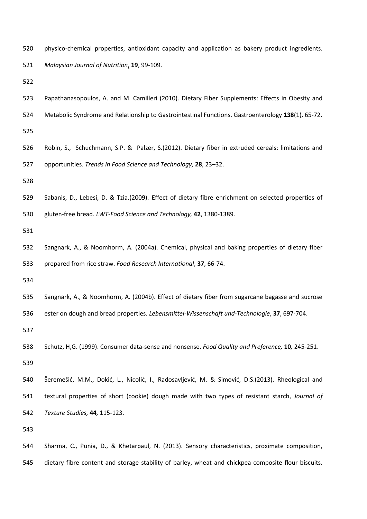physico-chemical properties, antioxidant capacity and application as bakery product ingredients. *Malaysian Journal of Nutrition*, **19**, 99-109.

- Papathanasopoulos, A. and M. Camilleri (2010). Dietary Fiber Supplements: Effects in Obesity and
- Metabolic Syndrome and Relationship to Gastrointestinal Functions. Gastroenterology **138**(1), 65-72.
- 
- Robin, S., Schuchmann, S.P. & Palzer, S.(2012). Dietary fiber in extruded cereals: limitations and opportunities. *Trends in Food Science and Technology,* **28**, 23–32.
- 
- Sabanis, D., Lebesi, D. & Tzia.(2009). Effect of dietary fibre enrichment on selected properties of
- gluten-free bread. *LWT-Food Science and Technology,* **42**, 1380-1389.
- 
- Sangnark, A., & Noomhorm, A. (2004a). Chemical, physical and baking properties of dietary fiber prepared from rice straw. *Food Research International*, **37**, 66-74.
- 
- Sangnark, A., & Noomhorm, A. (2004b). Effect of dietary fiber from sugarcane bagasse and sucrose
- ester on dough and bread properties. *Lebensmittel-Wissenschaft und-Technologie*, **37**, 697-704.

- Schutz, H,G. (1999). Consumer data-sense and nonsense. *Food Quality and Preference,* **10***,* 245-251.
- Šeremešić, M.M., Dokić, L., Nicolić, I., Radosavljević, M. & Simović, D.S.(2013). Rheological and textural properties of short (cookie) dough made with two types of resistant starch, *Journal of Texture Studies,* **44***,* 115-123.

 Sharma, C., Punia, D., & Khetarpaul, N. (2013). Sensory characteristics, proximate composition, dietary fibre content and storage stability of barley, wheat and chickpea composite flour biscuits.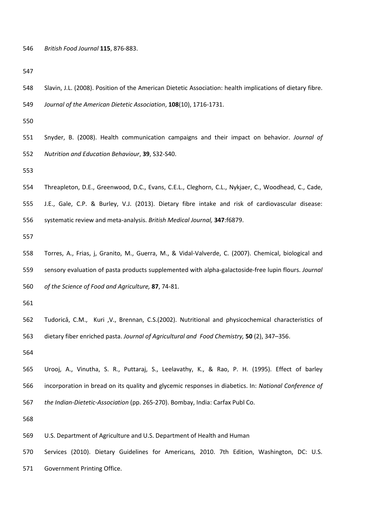*British Food Journal* **115**, 876-883.

- Slavin, J.L. (2008). Position of the American Dietetic Association: health implications of dietary fibre.
- *Journal of the American Dietetic Association*, **108**(10), 1716-1731.

 Snyder, B. (2008). Health communication campaigns and their impact on behavior. *Journal of Nutrition and Education Behaviour*, **39**, S32-S40.

 Threapleton, D.E., Greenwood, D.C., Evans, C.E.L., Cleghorn, C.L., Nykjaer, C., Woodhead, C., Cade, J.E., Gale, C.P. & Burley, V.J. (2013). Dietary fibre intake and risk of cardiovascular disease: systematic review and meta-analysis. *British Medical Journal,* **347**:f6879.

 Torres, A., Frias, j, Granito, M., Guerra, M., & Vidal-Valverde, C. (2007). Chemical, biological and sensory evaluation of pasta products supplemented with alpha-galactoside-free lupin flours. *Journal of the Science of Food and Agriculture,* **87**, 74-81.

 Tudoricǎ, C.M., Kuri ,V., Brennan, C.S.(2002). Nutritional and physicochemical characteristics of dietary fiber enriched pasta. *Journal of Agricultural and Food Chemistry,* **50** (2), 347–356.

 Urooj, A., Vinutha, S. R., Puttaraj, S., Leelavathy, K., & Rao, P. H. (1995). Effect of barley incorporation in bread on its quality and glycemic responses in diabetics. In: *National Conference of the Indian-Dietetic-Association* (pp. 265-270). Bombay, India: Carfax Publ Co.

- U.S. Department of Agriculture and U.S. Department of Health and Human
- Services (2010). Dietary Guidelines for Americans, 2010. 7th Edition, Washington, DC: U.S.
- Government Printing Office.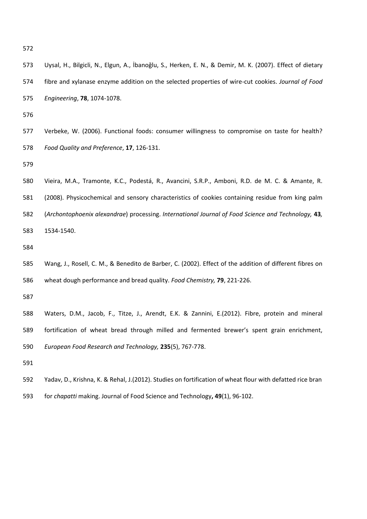| 573 | Uysal, H., Bilgicli, N., Elgun, A., İbanoğlu, S., Herken, E. N., & Demir, M. K. (2007). Effect of dietary |
|-----|-----------------------------------------------------------------------------------------------------------|
| 574 | fibre and xylanase enzyme addition on the selected properties of wire-cut cookies. Journal of Food        |
| 575 | Engineering, 78, 1074-1078.                                                                               |
| 576 |                                                                                                           |
| 577 | Verbeke, W. (2006). Functional foods: consumer willingness to compromise on taste for health?             |
| 578 | Food Quality and Preference, 17, 126-131.                                                                 |
| 579 |                                                                                                           |
| 580 | Vieira, M.A., Tramonte, K.C., Podestá, R., Avancini, S.R.P., Amboni, R.D. de M. C. & Amante, R.           |
| 581 | (2008). Physicochemical and sensory characteristics of cookies containing residue from king palm          |
| 582 | (Archontophoenix alexandrae) processing. International Journal of Food Science and Technology, 43,        |
| 583 | 1534-1540.                                                                                                |
| 584 |                                                                                                           |
| 585 | Wang, J., Rosell, C. M., & Benedito de Barber, C. (2002). Effect of the addition of different fibres on   |
| 586 | wheat dough performance and bread quality. Food Chemistry, 79, 221-226.                                   |
| 587 |                                                                                                           |
| 588 | Waters, D.M., Jacob, F., Titze, J., Arendt, E.K. & Zannini, E.(2012). Fibre, protein and mineral          |
| 589 | fortification of wheat bread through milled and fermented brewer's spent grain enrichment,                |
| 590 | European Food Research and Technology, 235(5), 767-778.                                                   |
| 591 |                                                                                                           |
| 592 | Yadav, D., Krishna, K. & Rehal, J.(2012). Studies on fortification of wheat flour with defatted rice bran |
| 593 | for chapatti making. Journal of Food Science and Technology, 49(1), 96-102.                               |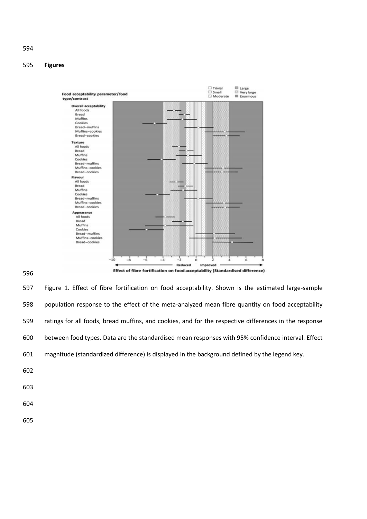# **Figures**



Effect of fibre fortification on food acceptability (Standardised difference)

 Figure 1. Effect of fibre fortification on food acceptability. Shown is the estimated large-sample population response to the effect of the meta-analyzed mean fibre quantity on food acceptability ratings for all foods, bread muffins, and cookies, and for the respective differences in the response between food types. Data are the standardised mean responses with 95% confidence interval. Effect magnitude (standardized difference) is displayed in the background defined by the legend key. 

- 
- 
-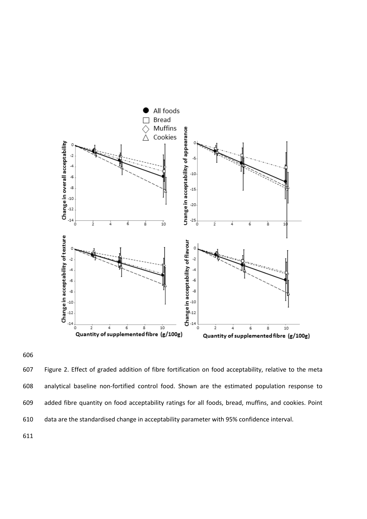



 Figure 2. Effect of graded addition of fibre fortification on food acceptability, relative to the meta analytical baseline non-fortified control food. Shown are the estimated population response to added fibre quantity on food acceptability ratings for all foods, bread, muffins, and cookies. Point data are the standardised change in acceptability parameter with 95% confidence interval.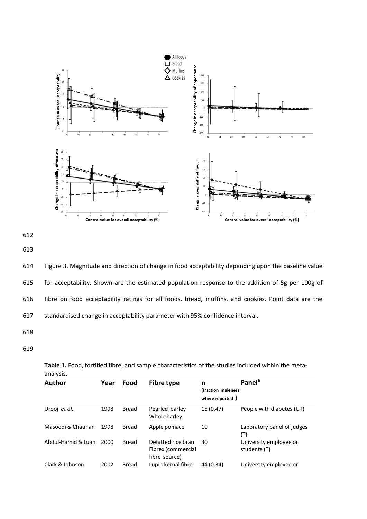



614 Figure 3. Magnitude and direction of change in food acceptability depending upon the baseline value 615 for acceptability. Shown are the estimated population response to the addition of 5g per 100g of 616 fibre on food acceptability ratings for all foods, bread, muffins, and cookies. Point data are the 617 standardised change in acceptability parameter with 95% confidence interval.

- 618
- 619

|           | Table 1. Food, fortified fibre, and sample characteristics of the studies included within the meta- |  |  |  |  |  |  |
|-----------|-----------------------------------------------------------------------------------------------------|--|--|--|--|--|--|
| analysis. |                                                                                                     |  |  |  |  |  |  |

| <b>Author</b>      | Year | Food         | <b>Fibre type</b>                                         | n<br>(fraction maleness<br>where reported ) | Panel <sup>a</sup>                     |
|--------------------|------|--------------|-----------------------------------------------------------|---------------------------------------------|----------------------------------------|
| Urooj et al.       | 1998 | Bread        | Pearled barley<br>Whole barley                            | 15 (0.47)                                   | People with diabetes (UT)              |
| Masoodi & Chauhan  | 1998 | <b>Bread</b> | Apple pomace                                              | 10                                          | Laboratory panel of judges<br>(T)      |
| Abdul-Hamid & Luan | 2000 | <b>Bread</b> | Defatted rice bran<br>Fibrex (commercial<br>fibre source) | 30                                          | University employee or<br>students (T) |
| Clark & Johnson    | 2002 | <b>Bread</b> | Lupin kernal fibre                                        | 44 (0.34)                                   | University employee or                 |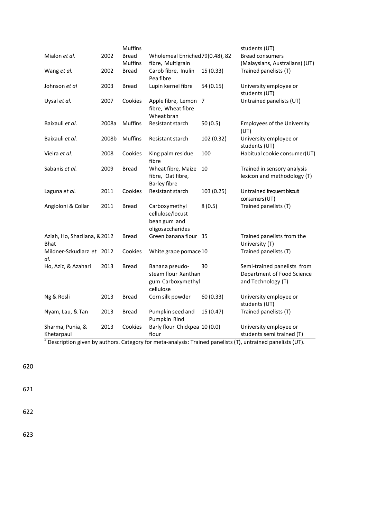|                                             |       | <b>Muffins</b>                 |                                                                         |            | students (UT)                                                                                                                                                                 |
|---------------------------------------------|-------|--------------------------------|-------------------------------------------------------------------------|------------|-------------------------------------------------------------------------------------------------------------------------------------------------------------------------------|
| Mialon et al.                               | 2002  | <b>Bread</b><br><b>Muffins</b> | Wholemeal Enriched 79(0.48), 82<br>fibre, Multigrain                    |            | <b>Bread consumers</b><br>(Malaysians, Australians) (UT)                                                                                                                      |
| Wang et al.                                 | 2002  | <b>Bread</b>                   | Carob fibre, Inulin<br>Pea fibre                                        | 15(0.33)   | Trained panelists (T)                                                                                                                                                         |
| Johnson et al                               | 2003  | Bread                          | Lupin kernel fibre                                                      | 54(0.15)   | University employee or<br>students (UT)                                                                                                                                       |
| Uysal et al.                                | 2007  | Cookies                        | Apple fibre, Lemon 7<br>fibre, Wheat fibre<br>Wheat bran                |            | Untrained panelists (UT)                                                                                                                                                      |
| Baixauli et al.                             | 2008a | <b>Muffins</b>                 | Resistant starch                                                        | 50(0.5)    | <b>Employees of the University</b><br>(UT)                                                                                                                                    |
| Baixauli et al.                             | 2008b | <b>Muffins</b>                 | Resistant starch                                                        | 102 (0.32) | University employee or<br>students (UT)                                                                                                                                       |
| Vieira et al.                               | 2008  | Cookies                        | King palm residue<br>fibre                                              | 100        | Habitual cookie consumer(UT)                                                                                                                                                  |
| Sabanis et al.                              | 2009  | Bread                          | Wheat fibre, Maize<br>fibre, Oat fibre,<br><b>Barley fibre</b>          | 10         | Trained in sensory analysis<br>lexicon and methodology (T)                                                                                                                    |
| Laguna et al.                               | 2011  | Cookies                        | Resistant starch                                                        | 103(0.25)  | Untrained frequent biscuit<br>consumers (UT)                                                                                                                                  |
| Angioloni & Collar                          | 2011  | <b>Bread</b>                   | Carboxymethyl<br>cellulose/locust<br>bean gum and<br>oligosaccharides   | 8(0.5)     | Trained panelists (T)                                                                                                                                                         |
| Aziah, Ho, Shazliana, & 2012<br><b>Bhat</b> |       | <b>Bread</b>                   | Green banana flour 35                                                   |            | Trained panelists from the<br>University (T)                                                                                                                                  |
| Mildner-Szkudlarz et 2012<br>al.            |       | Cookies                        | White grape pomace 10                                                   |            | Trained panelists (T)                                                                                                                                                         |
| Ho, Aziz, & Azahari                         | 2013  | <b>Bread</b>                   | Banana pseudo-<br>steam flour Xanthan<br>gum Carboxymethyl<br>cellulose | 30         | Semi-trained panelists from<br>Department of Food Science<br>and Technology (T)                                                                                               |
| Ng & Rosli                                  | 2013  | Bread                          | Corn silk powder                                                        | 60 (0.33)  | University employee or<br>students (UT)                                                                                                                                       |
| Nyam, Lau, & Tan                            | 2013  | Bread                          | Pumpkin seed and<br>Pumpkin Rind                                        | 15 (0.47)  | Trained panelists (T)                                                                                                                                                         |
| Sharma, Punia, &<br>Khetarpaul              | 2013  | Cookies                        | Barly flour Chickpea 10 (0.0)<br>flour                                  |            | University employee or<br>students semi trained (T)<br>$\frac{1}{3}$ Decembring since by surface Cohenomy for mote evolvoiry Trained nonelists $(T)$ untroined nonelists (UT) |

Description given by authors. Category for meta-analysis: Trained panelists (T), untrained panelists (UT).

620

621

622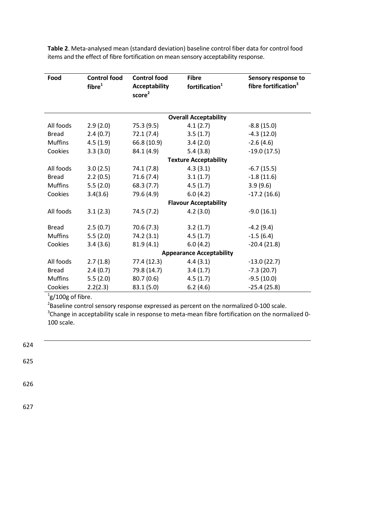| Food           | <b>Control food</b><br>fibre <sup>1</sup> | <b>Control food</b><br><b>Acceptability</b><br>score <sup>2</sup> | <b>Fibre</b><br>fortification <sup>1</sup> | Sensory response to<br>fibre fortification <sup>3</sup> |
|----------------|-------------------------------------------|-------------------------------------------------------------------|--------------------------------------------|---------------------------------------------------------|
|                |                                           |                                                                   | <b>Overall Acceptability</b>               |                                                         |
| All foods      | 2.9(2.0)                                  | 75.3(9.5)                                                         | 4.1(2.7)                                   | $-8.8(15.0)$                                            |
| <b>Bread</b>   | 2.4(0.7)                                  | 72.1(7.4)                                                         | 3.5(1.7)                                   | $-4.3(12.0)$                                            |
| <b>Muffins</b> | 4.5(1.9)                                  | 66.8 (10.9)                                                       | 3.4(2.0)                                   | $-2.6(4.6)$                                             |
| Cookies        | 3.3(3.0)                                  | 84.1 (4.9)                                                        | 5.4(3.8)                                   | $-19.0(17.5)$                                           |
|                |                                           |                                                                   | <b>Texture Acceptability</b>               |                                                         |
| All foods      | 3.0(2.5)                                  | 74.1 (7.8)                                                        | 4.3(3.1)                                   | $-6.7(15.5)$                                            |
| <b>Bread</b>   | 2.2(0.5)                                  | 71.6(7.4)                                                         | 3.1(1.7)                                   | $-1.8(11.6)$                                            |
| <b>Muffins</b> | 5.5(2.0)                                  | 68.3(7.7)                                                         | 4.5(1.7)                                   | 3.9(9.6)                                                |
| Cookies        | 3.4(3.6)                                  | 79.6 (4.9)                                                        | 6.0(4.2)                                   | $-17.2(16.6)$                                           |
|                |                                           |                                                                   | <b>Flavour Acceptability</b>               |                                                         |
| All foods      | 3.1(2.3)                                  | 74.5 (7.2)                                                        | 4.2(3.0)                                   | $-9.0(16.1)$                                            |
|                |                                           |                                                                   |                                            |                                                         |
| <b>Bread</b>   | 2.5(0.7)                                  | 70.6(7.3)                                                         | 3.2(1.7)                                   | $-4.2(9.4)$                                             |
| <b>Muffins</b> | 5.5(2.0)                                  | 74.2(3.1)                                                         | 4.5(1.7)                                   | $-1.5(6.4)$                                             |
| Cookies        | 3.4(3.6)                                  | 81.9(4.1)                                                         | 6.0(4.2)                                   | $-20.4(21.8)$                                           |
|                |                                           |                                                                   | <b>Appearance Acceptability</b>            |                                                         |
| All foods      | 2.7(1.8)                                  | 77.4 (12.3)                                                       | 4.4(3.1)                                   | $-13.0(22.7)$                                           |
| <b>Bread</b>   | 2.4(0.7)                                  | 79.8 (14.7)                                                       | 3.4(1.7)                                   | $-7.3(20.7)$                                            |
| <b>Muffins</b> | 5.5(2.0)                                  | 80.7(0.6)                                                         | 4.5(1.7)                                   | $-9.5(10.0)$                                            |
| Cookies        | 2.2(2.3)                                  | 83.1(5.0)                                                         | 6.2(4.6)                                   | $-25.4(25.8)$                                           |

**Table 2**. Meta-analysed mean (standard deviation) baseline control fiber data for control food items and the effect of fibre fortification on mean sensory acceptability response.

 $\mathrm{^{1}g/100g}$  of fibre.

 $^{2}$ Baseline control sensory response expressed as percent on the normalized 0-100 scale.  $3$ Change in acceptability scale in response to meta-mean fibre fortification on the normalized 0-100 scale.



625

626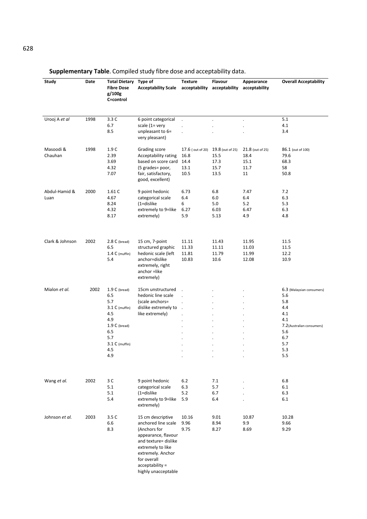| Study                 | Date | <b>Total Dietary</b><br><b>Fibre Dose</b><br>g/100g<br>C=control                                                                   | <b>Type of</b><br><b>Acceptability Scale</b>                                                                                                                                                               | <b>Texture</b>                                   | Flavour<br>acceptability acceptability           | Appearance<br>acceptability                    | <b>Overall Acceptability</b>                                                                                                  |
|-----------------------|------|------------------------------------------------------------------------------------------------------------------------------------|------------------------------------------------------------------------------------------------------------------------------------------------------------------------------------------------------------|--------------------------------------------------|--------------------------------------------------|------------------------------------------------|-------------------------------------------------------------------------------------------------------------------------------|
| Urooj A et al         | 1998 | 3.3C<br>6.7<br>8.5                                                                                                                 | 6 point categorical<br>scale (1= very<br>unpleasant to 6=<br>very pleasant)                                                                                                                                | $\ddot{\phantom{a}}$                             |                                                  | $\ddot{\phantom{0}}$                           | 5.1<br>4.1<br>3.4                                                                                                             |
| Masoodi &<br>Chauhan  | 1998 | 1.9C<br>2.39<br>3.69<br>4.32<br>7.07                                                                                               | Grading score<br>Acceptability rating<br>based on score card<br>(5 grades= poor,<br>fair, satisfactory,<br>good, excellent)                                                                                | 17.6 (out of 20)<br>16.8<br>14.4<br>13.1<br>10.5 | 19.8 (out of 25)<br>15.5<br>17.3<br>15.7<br>13.5 | 21.8 (out of 25)<br>18.4<br>15.1<br>11.7<br>11 | 86.1 (out of 100)<br>79.6<br>68.3<br>58<br>50.8                                                                               |
| Abdul-Hamid &<br>Luan | 2000 | 1.61C<br>4.67<br>8.24<br>4.32<br>8.17                                                                                              | 9 point hedonic<br>categorical scale<br>$(1=$ dislike<br>extremely to 9=like<br>extremely)                                                                                                                 | 6.73<br>6.4<br>6<br>6.27<br>5.9                  | 6.8<br>6.0<br>5.0<br>6.03<br>5.13                | 7.47<br>6.4<br>5.2<br>6.47<br>4.9              | 7.2<br>6.3<br>5.3<br>6.3<br>4.8                                                                                               |
| Clark & Johnson       | 2002 | $2.8 C$ (bread)<br>6.5<br>$1.4 C$ (muffin)<br>5.4                                                                                  | 15 cm, 7-point<br>structured graphic<br>hedonic scale (left<br>anchor=dislike<br>extremely, right<br>anchor =like<br>extremely)                                                                            | 11.11<br>11.33<br>11.81<br>10.83                 | 11.43<br>11.11<br>11.79<br>10.6                  | 11.95<br>11.03<br>11.99<br>12.08               | 11.5<br>11.5<br>12.2<br>10.9                                                                                                  |
| Mialon et al.         | 2002 | $1.9 C$ (bread)<br>6.5<br>5.7<br>$3.1 C$ (muffin)<br>4.5<br>4.9<br>$1.9 C$ (bread)<br>6.5<br>5.7<br>$3.1 C$ (muffin)<br>4.5<br>4.9 | 15cm unstructured<br>hedonic line scale<br>(scale anchors=<br>dislike extremely to<br>like extremely)                                                                                                      |                                                  |                                                  |                                                | 6.3 (Malaysian consumers)<br>5.6<br>5.8<br>4.4<br>4.1<br>4.1<br>7.2 (Australian consumers)<br>5.6<br>6.7<br>5.7<br>5.3<br>5.5 |
| Wang et al.           | 2002 | 3 C<br>5.1<br>5.1<br>5.4                                                                                                           | 9 point hedonic<br>categorical scale<br>$(1=$ dislike<br>extremely to 9=like<br>extremely)                                                                                                                 | $6.2$<br>6.3<br>5.2<br>5.9                       | 7.1<br>5.7<br>6.7<br>6.4                         |                                                | 6.8<br>6.1<br>6.3<br>6.1                                                                                                      |
| Johnson et al.        | 2003 | 3.5 C<br>6.6<br>8.3                                                                                                                | 15 cm descriptive<br>anchored line scale<br>(Anchors for<br>appearance, flavour<br>and texture= dislike<br>extremely to like<br>extremely. Anchor<br>for overall<br>acceptability =<br>highly unacceptable | 10.16<br>9.96<br>9.75                            | 9.01<br>8.94<br>8.27                             | 10.87<br>9.9<br>8.69                           | 10.28<br>9.66<br>9.29                                                                                                         |

**Supplementary Table**. Compiled study fibre dose and acceptability data.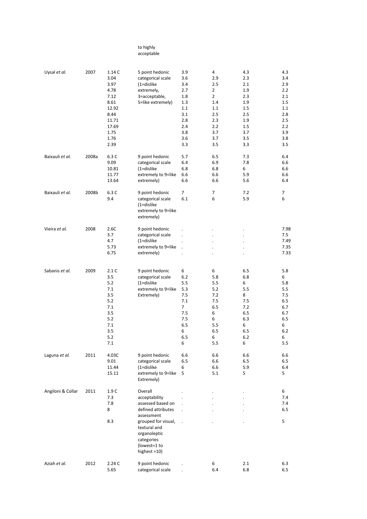#### to highly acceptable

| Uysal et al.      | 2007  | 1.14 C<br>3.04<br>3.97<br>4.78<br>7.12<br>8.61<br>12.92<br>8.44<br>11.71<br>17.69<br>1.75<br>1.76<br>2.39 | 5 point hedonic<br>categorical scale<br>$(1=$ dislike<br>extremely,<br>3=acceptable,<br>5=like extremely)                                                                                 | 3.9<br>3.6<br>3.4<br>2.7<br>1.8<br>1.3<br>1.1<br>3.1<br>2.8<br>2.4<br>3.8<br>3.6<br>3.3      | 4<br>2.9<br>2.5<br>$\overline{2}$<br>$\overline{2}$<br>1.4<br>$1.1\,$<br>2.5<br>2.3<br>2.2<br>3.7<br>3.7<br>3.5 | 4.3<br>2.3<br>2.1<br>1.9<br>2.3<br>1.9<br>1.5<br>2.5<br>1.9<br>1.5<br>3.7<br>3.5<br>3.3 | 4.3<br>3.4<br>2.9<br>2.2<br>2.1<br>1.5<br>$1.1\,$<br>2.8<br>2.5<br>2.2<br>3.9<br>3.8<br>3.5 |
|-------------------|-------|-----------------------------------------------------------------------------------------------------------|-------------------------------------------------------------------------------------------------------------------------------------------------------------------------------------------|----------------------------------------------------------------------------------------------|-----------------------------------------------------------------------------------------------------------------|-----------------------------------------------------------------------------------------|---------------------------------------------------------------------------------------------|
| Baixauli et al.   | 2008a | 6.3 C<br>9.09<br>10.81<br>11.77<br>13.64                                                                  | 9 point hedonic<br>categorical scale<br>$(1=$ dislike<br>extremely to 9=like<br>extremely)                                                                                                | 5.7<br>6.4<br>6.8<br>6.6<br>6.6                                                              | 6.5<br>6.9<br>6.8<br>6.6<br>6.6                                                                                 | 7.3<br>7.8<br>6<br>5.9<br>5.6                                                           | 6.4<br>6.6<br>6.6<br>6.6<br>6.4                                                             |
| Baixauli et al.   | 2008b | 6.3 C<br>9.4                                                                                              | 9 point hedonic<br>categorical scale<br>$(1=$ dislike<br>extremely to 9=like<br>extremely)                                                                                                | $\overline{7}$<br>6.1                                                                        | 7<br>6                                                                                                          | 7.2<br>5.9                                                                              | 7<br>6                                                                                      |
| Vieira et al.     | 2008  | 2.6C<br>3.7<br>4.7<br>5.73<br>6.75                                                                        | 9 point hedonic<br>categorical scale<br>$(1=$ dislike<br>extremely to 9=like<br>extremely)                                                                                                |                                                                                              |                                                                                                                 |                                                                                         | 7.98<br>7.5<br>7.49<br>7.35<br>7.33                                                         |
| Sabanis et al.    | 2009  | 2.1C<br>3.5<br>5.2<br>7.1<br>3.5<br>5.2<br>7.1<br>3.5<br>5.2<br>7.1<br>3.5<br>5.2<br>7.1                  | 9 point hedonic<br>categorical scale<br>$(1=$ dislike<br>extremely to 9=like<br>Extremely)                                                                                                | 6<br>6.2<br>5.5<br>5.3<br>7.5<br>7.1<br>$\overline{7}$<br>7.5<br>7.5<br>6.5<br>6<br>6.5<br>6 | 6<br>5.8<br>5.5<br>5.2<br>7.2<br>7.5<br>6.5<br>6<br>6<br>5.5<br>6.5<br>6<br>5.5                                 | 6.5<br>6.8<br>6<br>5.5<br>8<br>7.5<br>7.2<br>6.5<br>6.3<br>6<br>6.5<br>6.2<br>6         | 5.8<br>6<br>5.8<br>5.5<br>7.5<br>6.5<br>6.7<br>6.7<br>6.5<br>6<br>6.2<br>6<br>5.5           |
| Laguna et al.     | 2011  | 4.03C<br>9.01<br>11.44<br>15.11                                                                           | 9 point hedonic<br>categorical scale<br>$(1=$ dislike<br>extremely to 9=like<br>Extremely)                                                                                                | 6.6<br>6.5<br>6<br>5                                                                         | 6.6<br>6.6<br>6.6<br>5.1                                                                                        | 6.6<br>6.5<br>5.9<br>5                                                                  | 6.6<br>6.5<br>6.4<br>5                                                                      |
| Angiloni & Collar | 2011  | 1.9C<br>7.3<br>7.8<br>8<br>8.3                                                                            | Overall<br>acceptability<br>assessed based on<br>defined attributes<br>assessment<br>grouped for visual,<br>textural and<br>organoleptic<br>categories<br>(lowest=1 to<br>highest $=10$ ) | $\overline{a}$                                                                               |                                                                                                                 |                                                                                         | 6<br>7.4<br>7.4<br>6.5<br>5                                                                 |
| Aziah et al.      | 2012  | 2.24C<br>5.65                                                                                             | 9 point hedonic<br>categorical scale                                                                                                                                                      |                                                                                              | 6<br>6.4                                                                                                        | 2.1<br>6.8                                                                              | 6.3<br>6.5                                                                                  |